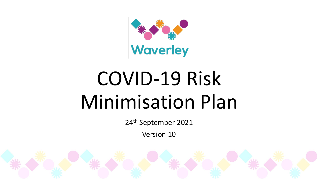

# COVID-19 Risk Minimisation Plan

24th September 2021

Version 10

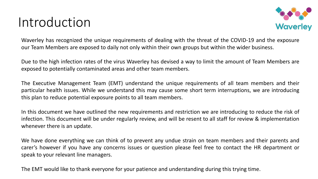## Introduction



Waverley has recognized the unique requirements of dealing with the threat of the COVID-19 and the exposure our Team Members are exposed to daily not only within their own groups but within the wider business.

Due to the high infection rates of the virus Waverley has devised a way to limit the amount of Team Members are exposed to potentially contaminated areas and other team members.

The Executive Management Team (EMT) understand the unique requirements of all team members and their particular health issues. While we understand this may cause some short term interruptions, we are introducing this plan to reduce potential exposure points to all team members.

In this document we have outlined the new requirements and restriction we are introducing to reduce the risk of infection. This document will be under regularly review, and will be resent to all staff for review & implementation whenever there is an update.

We have done everything we can think of to prevent any undue strain on team members and their parents and carer's however if you have any concerns issues or question please feel free to contact the HR department or speak to your relevant line managers.

The EMT would like to thank everyone for your patience and understanding during this trying time.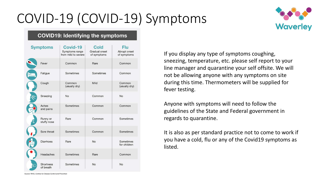## COVID-19 (COVID-19) Symptoms



#### **COVID19: Identifying the symptoms**

| <b>Symptoms</b> |                         | Covid-19<br>Symptoms range<br>from mild to severe | <b>Cold</b><br>Gradual onset<br>of symptoms | <b>Flu</b><br>Abrupt onset<br>of symptoms |
|-----------------|-------------------------|---------------------------------------------------|---------------------------------------------|-------------------------------------------|
|                 | Fever                   | Common                                            | Rare                                        | Common                                    |
|                 | Fatigue                 | Sometimes                                         | Sometimes                                   | Common                                    |
|                 | Cough                   | Common<br>(usually dry)                           | Mild                                        | Common<br>(usually dry)                   |
|                 | Sneezing                | <b>No</b>                                         | Common                                      | <b>No</b>                                 |
|                 | Aches<br>and pains      | Sometimes                                         | Common                                      | Common                                    |
|                 | Runny or<br>stuffy nose | Rare                                              | Common                                      | Sometimes                                 |
|                 | Sore throat             | Sometimes                                         | Common                                      | Sometimes                                 |
|                 | Diarrhoea               | Rare                                              | <b>No</b>                                   | Sometimes<br>for children                 |
|                 | Headaches               | Sometimes                                         | Rare                                        | Common                                    |
|                 | Shortness<br>of breath  | Sometimes                                         | No                                          | <b>No</b>                                 |

If you display any type of symptoms coughing, sneezing, temperature, etc. please self report to your line manager and quarantine your self offsite. We will not be allowing anyone with any symptoms on site during this time. Thermometers will be supplied for fever testing.

Anyone with symptoms will need to follow the guidelines of the State and Federal government in regards to quarantine.

It is also as per standard practice not to come to work if you have a cold, flu or any of the Covid19 symptoms as listed.

Source: WHO, Centres for Disease Control and Prevention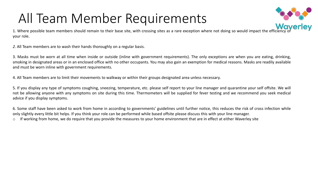## All Team Member Requirements



1. Where possible team members should remain to their base site, with crossing sites as a rare exception where not doing so would impact the efficiency of **WAVETIEY** your role.

*2.* All Team members are to wash their hands thoroughly on a regular basis.

3. Masks must be worn at all time when inside or outside (inline with government requirements). The only exceptions are when you are eating, drinking, smoking in designated areas or in an enclosed office with no other occupants. You may also gain an exemption for medical reasons. Masks are readily available and must be worn inline with government requirements.

4. All Team members are to limit their movements to walkway or within their groups designated area unless necessary.

5. If you display any type of symptoms coughing, sneezing, temperature, etc. please self report to your line manager and quarantine your self offsite. We will not be allowing anyone with any symptoms on site during this time. Thermometers will be supplied for fever testing and we recommend you seek medical advice if you display symptoms.

6. Some staff have been asked to work from home in according to governments' guidelines until further notice, this reduces the risk of cross infection while only slightly every little bit helps. If you think your role can be performed while based offsite please discuss this with your line manager. If working from home, we do require that you provide the measures to your home environment that are in effect at either Waverley site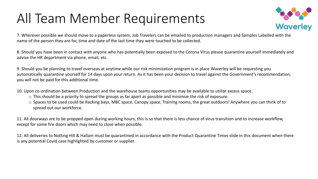## All Team Member Requirements



7. Wherever possible we should move to a paperless system, Job Travelers can be emailed to production managers and Samples Labelled with the name of the person they are for, time and date of the last time they were touched to be collected.

8. Should you have been in contact with anyone who has potentially been exposed to the Corona Virus please quarantine yourself immediately and advise the HR department via phone, email, etc.

9. Should you be planning to travel overseas at anytime while our risk minimization program is in place Waverley will be requesting you automatically quarantine yourself for 14 days upon your return. As it has been your decision to travel against the Government's recommendation, you will not be paid for this additional time.

10. Upon co-ordination between Production and the warehouse teams opportunities may be available to utilize excess space.

- o This should be a priority to spread the groups as far apart as possible and minimize the risk of exposure.
- o Spaces to be used could be Racking bays, MBC space, Canopy space, Training rooms, the great outdoors! Anywhere you can think of to spread out our workforce.

11. All doorways are to be propped open during working hours, this is so that there is less chance of virus transition and to increase workflow, except for some fire doors which may need to close when possible.

12. All deliveries to Notting Hill & Hallam must be quarantined in accordance with the Product Quarantine Times slide in this document when there is any potential Covid case highlighted by customer or supplier.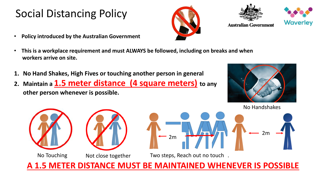### Social Distancing Policy

- **Policy introduced by the Australian Government**
- **This is a workplace requirement and must ALWAYS be followed, including on breaks and when workers arrive on site.**
- **1. No Hand Shakes, High Fives or touching another person in general**
- **2. Maintain a 1.5 meter distance (4 square meters) to any other person whenever is possible.**





**A 1.5 METER DISTANCE MUST BE MAINTAINED WHENEVER IS POSSIBLE**





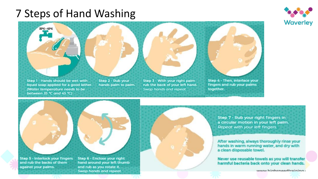#### 7 Steps of Hand Washing





liquid soap applied for a good lather. (Water temperature needs to be between 35 °C and 45 °C)

rub the back of your left hand. Swap hands and repeat.

fingers and rub your palms together.

Step 5 - Interlock your fingers and rub the backs of them against your palms.

Step 6 - Enclose your right hand around your left thumb and rub as you rotate it. Swap hands and repeat.

Step 7 - Rub your right fingers in a circular motion in your left palm. Repeat with your left fingers.

After washing, always thoroughly rinse your hands in warm running water, and dry with a clean disposable towel.

Never use reusable towels as you will transfer harmful bacteria back onto your clean hands.

www.higheneedtraining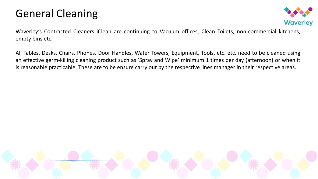#### General Cleaning



Waverley's Contracted Cleaners iClean are continuing to Vacuum offices, Clean Toilets, non-commercial kitchens, empty bins etc.

All Tables, Desks, Chairs, Phones, Door Handles, Water Towers, Equipment, Tools, etc. etc. need to be cleaned using an effective germ-killing cleaning product such as 'Spray and Wipe' minimum 1 times per day (afternoon) or when it is reasonable practicable. These are to be ensure carry out by the respective lines manager in their respective areas.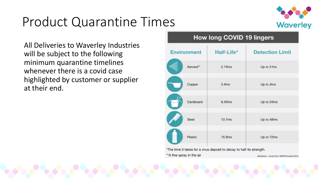## Product Quarantine Times



All Deliveries to Waverley Industries will be subject to the following minimum quarantine timelines whenever there is a covid case highlighted by customer or supplier at their end.

#### **How long COVID 19 lingers** Half-Life\* **Detection Limit Environment** Aerosol\*\*  $2.74$ hrs Up to 3 hrs Copper Up to 4hrs  $3.4hrs$ Cardboard 8.45hrs Up to 24hrs Steel  $13.1hrs$ Up to 48hrs Plastic Up to 72hrs 15.9hrs \*The time it takes for a virus deposit to decay to half its strength. \*\* A fine spray in the air attribution: study from NIH/Princeton/UCL/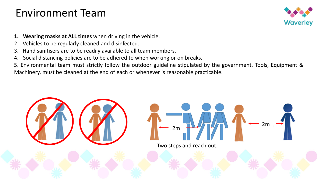#### Environment Team



- **1. Wearing masks at ALL times** when driving in the vehicle.
- 2. Vehicles to be regularly cleaned and disinfected.
- 3. Hand sanitisers are to be readily available to all team members.
- 4. Social distancing policies are to be adhered to when working or on breaks.
- 5. Environmental team must strictly follow the outdoor guideline stipulated by the government. Tools, Equipment & Machinery, must be cleaned at the end of each or whenever is reasonable practicable.

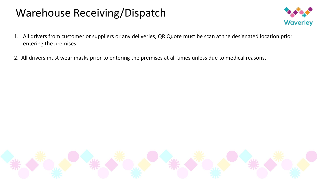### Warehouse Receiving/Dispatch



- 1. All drivers from customer or suppliers or any deliveries, QR Quote must be scan at the designated location prior entering the premises.
- 2. All drivers must wear masks prior to entering the premises at all times unless due to medical reasons.

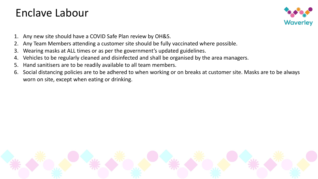#### Enclave Labour



- 1. Any new site should have a COVID Safe Plan review by OH&S.
- 2. Any Team Members attending a customer site should be fully vaccinated where possible.
- 3. Wearing masks at ALL times or as per the government's updated guidelines.
- 4. Vehicles to be regularly cleaned and disinfected and shall be organised by the area managers.
- 5. Hand sanitisers are to be readily available to all team members.
- 6. Social distancing policies are to be adhered to when working or on breaks at customer site. Masks are to be always worn on site, except when eating or drinking.

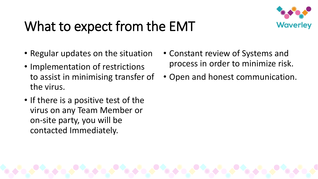## What to expect from the EMT



- Regular updates on the situation
- Implementation of restrictions to assist in minimising transfer of the virus.
- If there is a positive test of the virus on any Team Member or on-site party, you will be contacted Immediately.
- Constant review of Systems and process in order to minimize risk.
- Open and honest communication.